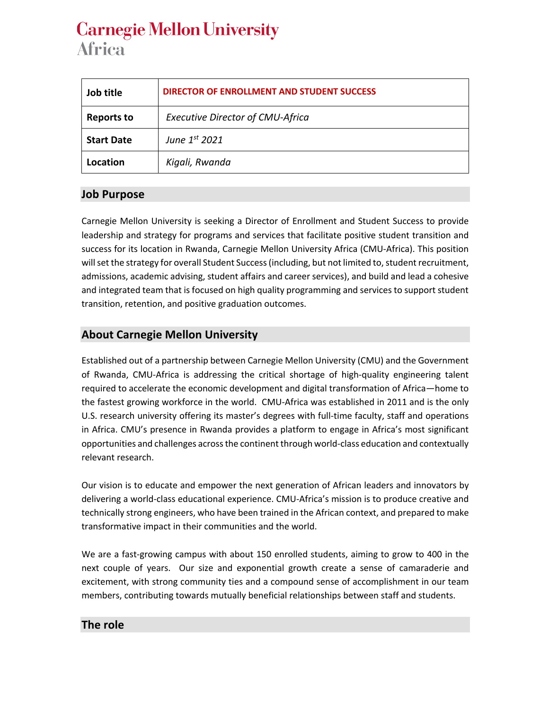# **Carnegie Mellon University Africa**

| Job title         | <b>DIRECTOR OF ENROLLMENT AND STUDENT SUCCESS</b> |
|-------------------|---------------------------------------------------|
| <b>Reports to</b> | <b>Executive Director of CMU-Africa</b>           |
| <b>Start Date</b> | June $1st$ 2021                                   |
| Location          | Kigali, Rwanda                                    |

## **Job Purpose**

Carnegie Mellon University is seeking a Director of Enrollment and Student Success to provide leadership and strategy for programs and services that facilitate positive student transition and success for its location in Rwanda, Carnegie Mellon University Africa (CMU-Africa). This position will set the strategy for overall Student Success (including, but not limited to, student recruitment, admissions, academic advising, student affairs and career services), and build and lead a cohesive and integrated team that is focused on high quality programming and services to support student transition, retention, and positive graduation outcomes.

# **About Carnegie Mellon University**

Established out of a partnership between Carnegie Mellon University (CMU) and the Government of Rwanda, CMU-Africa is addressing the critical shortage of high-quality engineering talent required to accelerate the economic development and digital transformation of Africa—home to the fastest growing workforce in the world. CMU-Africa was established in 2011 and is the only U.S. research university offering its master's degrees with full-time faculty, staff and operations in Africa. CMU's presence in Rwanda provides a platform to engage in Africa's most significant opportunities and challenges across the continent through world-class education and contextually relevant research.

Our vision is to educate and empower the next generation of African leaders and innovators by delivering a world-class educational experience. CMU-Africa's mission is to produce creative and technically strong engineers, who have been trained in the African context, and prepared to make transformative impact in their communities and the world.

We are a fast-growing campus with about 150 enrolled students, aiming to grow to 400 in the next couple of years. Our size and exponential growth create a sense of camaraderie and excitement, with strong community ties and a compound sense of accomplishment in our team members, contributing towards mutually beneficial relationships between staff and students.

### **The role**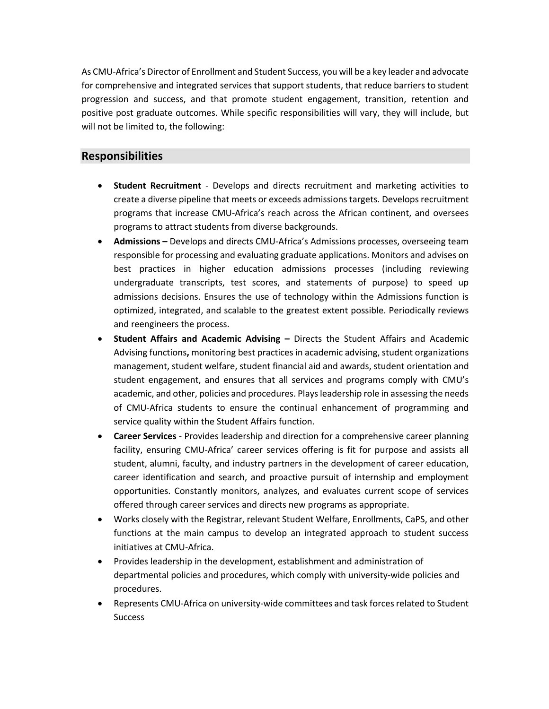As CMU-Africa's Director of Enrollment and Student Success, you will be a key leader and advocate for comprehensive and integrated services that support students, that reduce barriers to student progression and success, and that promote student engagement, transition, retention and positive post graduate outcomes. While specific responsibilities will vary, they will include, but will not be limited to, the following:

#### **Responsibilities**

- **Student Recruitment**  Develops and directs recruitment and marketing activities to create a diverse pipeline that meets or exceeds admissions targets. Develops recruitment programs that increase CMU-Africa's reach across the African continent, and oversees programs to attract students from diverse backgrounds.
- **Admissions –** Develops and directs CMU-Africa's Admissions processes, overseeing team responsible for processing and evaluating graduate applications. Monitors and advises on best practices in higher education admissions processes (including reviewing undergraduate transcripts, test scores, and statements of purpose) to speed up admissions decisions. Ensures the use of technology within the Admissions function is optimized, integrated, and scalable to the greatest extent possible. Periodically reviews and reengineers the process.
- **Student Affairs and Academic Advising –** Directs the Student Affairs and Academic Advising functions**,** monitoring best practices in academic advising, student organizations management, student welfare, student financial aid and awards, student orientation and student engagement, and ensures that all services and programs comply with CMU's academic, and other, policies and procedures. Plays leadership role in assessing the needs of CMU-Africa students to ensure the continual enhancement of programming and service quality within the Student Affairs function.
- **Career Services** Provides leadership and direction for a comprehensive career planning facility, ensuring CMU-Africa' career services offering is fit for purpose and assists all student, alumni, faculty, and industry partners in the development of career education, career identification and search, and proactive pursuit of internship and employment opportunities. Constantly monitors, analyzes, and evaluates current scope of services offered through career services and directs new programs as appropriate.
- Works closely with the Registrar, relevant Student Welfare, Enrollments, CaPS, and other functions at the main campus to develop an integrated approach to student success initiatives at CMU-Africa.
- Provides leadership in the development, establishment and administration of departmental policies and procedures, which comply with university-wide policies and procedures.
- Represents CMU-Africa on university-wide committees and task forces related to Student **Success**